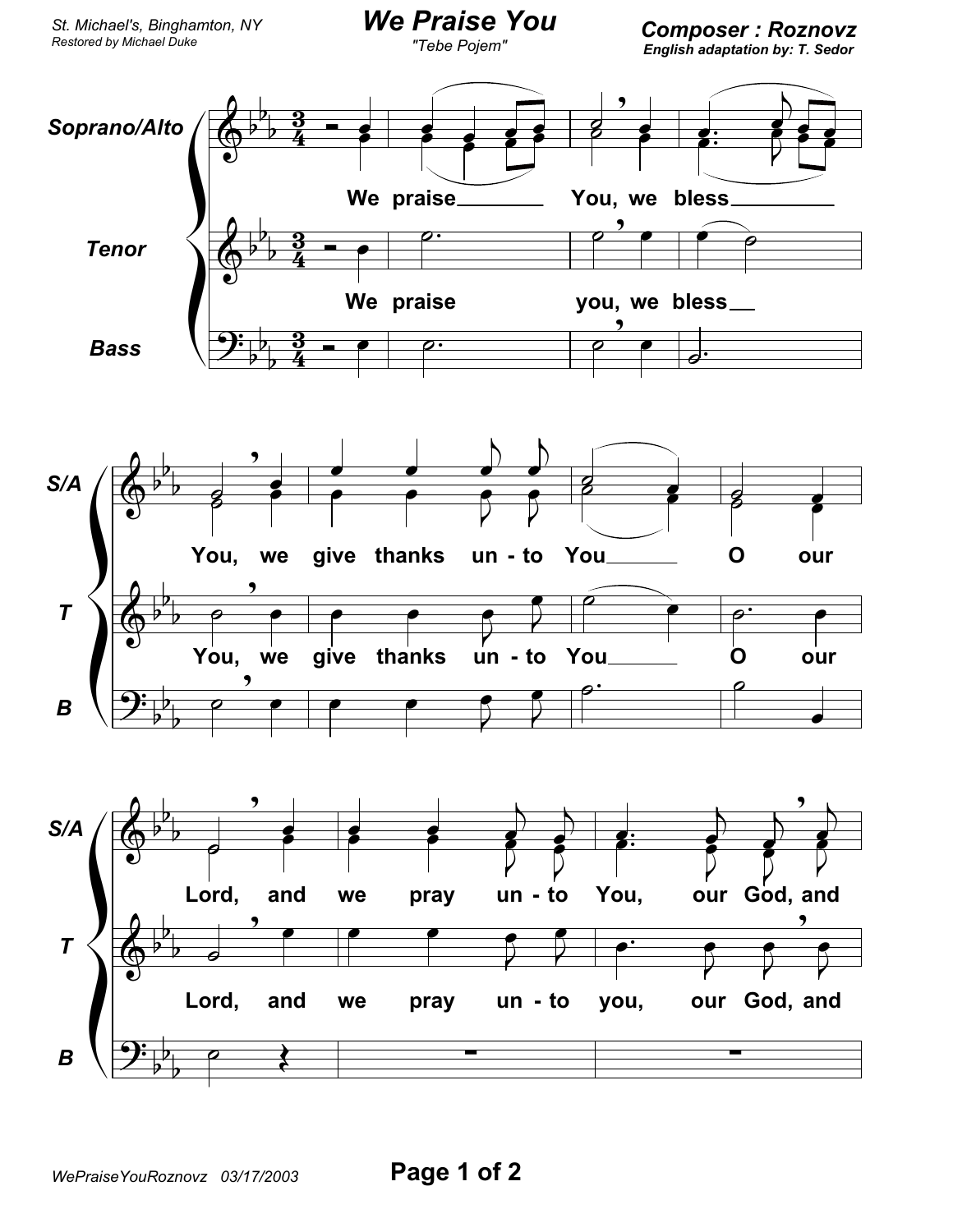